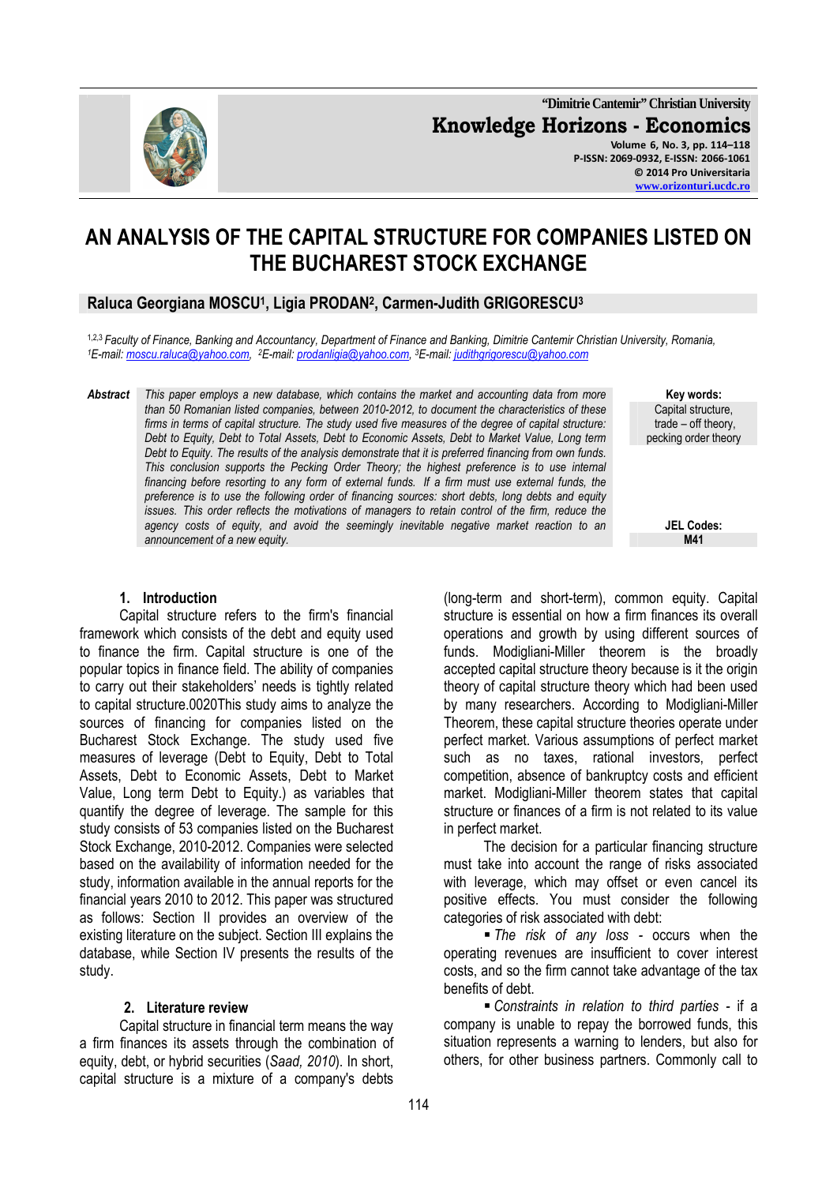

**"Dimitrie Cantemir" Christian University Knowledge Horizons - Economics Volume 6, No. 3, pp. 114–118 P-ISSN: 2069-0932, E-ISSN: 2066-1061 © 2014 Pro Universitaria** 

**www.orizonturi.ucdc.ro**

## **AN ANALYSIS OF THE CAPITAL STRUCTURE FOR COMPANIES LISTED ON THE BUCHAREST STOCK EXCHANGE**

## **Raluca Georgiana MOSCU<sup>1</sup> , Ligia PRODAN<sup>2</sup> , Carmen-Judith GRIGORESCU<sup>3</sup>**

1,2,3 *Faculty of Finance, Banking and Accountancy, Department of Finance and Banking, Dimitrie Cantemir Christian University, Romania, <sup>1</sup>E-mail: moscu.raluca@yahoo.com, <sup>2</sup>E-mail: prodanligia@yahoo.com, <sup>3</sup>E-mail: judithgrigorescu@yahoo.com* 

*Abstract This paper employs a new database, which contains the market and accounting data from more than 50 Romanian listed companies, between 2010-2012, to document the characteristics of these firms in terms of capital structure. The study used five measures of the degree of capital structure: Debt to Equity, Debt to Total Assets, Debt to Economic Assets, Debt to Market Value, Long term Debt to Equity. The results of the analysis demonstrate that it is preferred financing from own funds. This conclusion supports the Pecking Order Theory; the highest preference is to use internal financing before resorting to any form of external funds. If a firm must use external funds, the preference is to use the following order of financing sources: short debts, long debts and equity issues. This order reflects the motivations of managers to retain control of the firm, reduce the agency costs of equity, and avoid the seemingly inevitable negative market reaction to an announcement of a new equity.* **M41** 

**Key words:**  Capital structure, trade – off theory, pecking order theory

**JEL Codes:**

#### **1. Introduction**

Capital structure refers to the firm's financial framework which consists of the debt and equity used to finance the firm. Capital structure is one of the popular topics in finance field. The ability of companies to carry out their stakeholders' needs is tightly related to capital structure.0020This study aims to analyze the sources of financing for companies listed on the Bucharest Stock Exchange. The study used five measures of leverage (Debt to Equity, Debt to Total Assets, Debt to Economic Assets, Debt to Market Value, Long term Debt to Equity.) as variables that quantify the degree of leverage. The sample for this study consists of 53 companies listed on the Bucharest Stock Exchange, 2010-2012. Companies were selected based on the availability of information needed for the study, information available in the annual reports for the financial years 2010 to 2012. This paper was structured as follows: Section II provides an overview of the existing literature on the subject. Section III explains the database, while Section IV presents the results of the study.

#### **2. Literature review**

Capital structure in financial term means the way a firm finances its assets through the combination of equity, debt, or hybrid securities (*Saad, 2010*). In short, capital structure is a mixture of a company's debts (long-term and short-term), common equity. Capital structure is essential on how a firm finances its overall operations and growth by using different sources of funds. Modigliani-Miller theorem is the broadly accepted capital structure theory because is it the origin theory of capital structure theory which had been used by many researchers. According to Modigliani-Miller Theorem, these capital structure theories operate under perfect market. Various assumptions of perfect market such as no taxes, rational investors, perfect competition, absence of bankruptcy costs and efficient market. Modigliani-Miller theorem states that capital structure or finances of a firm is not related to its value in perfect market.

The decision for a particular financing structure must take into account the range of risks associated with leverage, which may offset or even cancel its positive effects. You must consider the following categories of risk associated with debt:

 *The risk of any loss -* occurs when the operating revenues are insufficient to cover interest costs, and so the firm cannot take advantage of the tax benefits of debt.

 *Constraints in relation to third parties -* if a company is unable to repay the borrowed funds, this situation represents a warning to lenders, but also for others, for other business partners. Commonly call to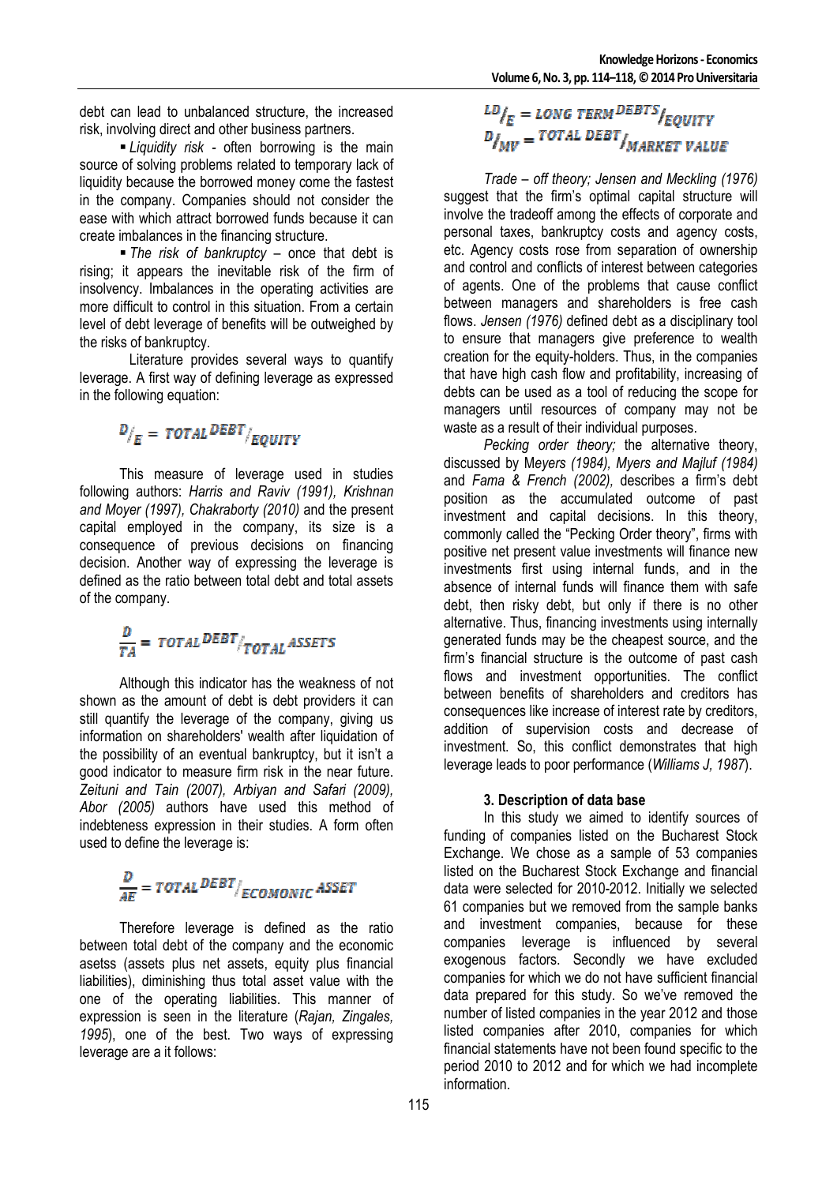debt can lead to unbalanced structure, the increased risk, involving direct and other business partners.

 *Liquidity risk -* often borrowing is the main source of solving problems related to temporary lack of liquidity because the borrowed money come the fastest in the company. Companies should not consider the ease with which attract borrowed funds because it can create imbalances in the financing structure.

 *The risk of bankruptcy –* once that debt is rising; it appears the inevitable risk of the firm of insolvency. Imbalances in the operating activities are more difficult to control in this situation. From a certain level of debt leverage of benefits will be outweighed by the risks of bankruptcy.

 Literature provides several ways to quantify leverage. A first way of defining leverage as expressed in the following equation:

# $D/_{E}$  = TOTAL DEBT /EQUITY

This measure of leverage used in studies following authors: *Harris and Raviv (1991), Krishnan and Moyer (1997), Chakraborty (2010)* and the present capital employed in the company, its size is a consequence of previous decisions on financing decision. Another way of expressing the leverage is defined as the ratio between total debt and total assets of the company.

# $\frac{D}{TA} = \text{TOTAL } \text{DEBT}/_{\text{TOTAL ASSETS}}$

Although this indicator has the weakness of not shown as the amount of debt is debt providers it can still quantify the leverage of the company, giving us information on shareholders' wealth after liquidation of the possibility of an eventual bankruptcy, but it isn't a good indicator to measure firm risk in the near future. *Zeituni and Tain (2007), Arbiyan and Safari (2009), Abor (2005)* authors have used this method of indebteness expression in their studies. A form often used to define the leverage is:

# $\frac{D}{AF} = TOTAL \frac{DEBT}{ECOMONIC} ASSET$

Therefore leverage is defined as the ratio between total debt of the company and the economic asetss (assets plus net assets, equity plus financial liabilities), diminishing thus total asset value with the one of the operating liabilities. This manner of expression is seen in the literature (*Rajan, Zingales, 1995*), one of the best. Two ways of expressing leverage are a it follows:

# $\frac{LD}{E}$  = LONG TERM DEBTS  $\frac{LD}{EQUITY}$  $D_{\text{MIV}}^{\text{V.E}} = \text{Total } \text{DEBT}_{\text{MARKET VALUE}}^{\text{V.EQIII}}$

*Trade – off theory; Jensen and Meckling (1976)* suggest that the firm's optimal capital structure will involve the tradeoff among the effects of corporate and personal taxes, bankruptcy costs and agency costs, etc. Agency costs rose from separation of ownership and control and conflicts of interest between categories of agents. One of the problems that cause conflict between managers and shareholders is free cash flows. *Jensen (1976)* defined debt as a disciplinary tool to ensure that managers give preference to wealth creation for the equity-holders. Thus, in the companies that have high cash flow and profitability, increasing of debts can be used as a tool of reducing the scope for managers until resources of company may not be waste as a result of their individual purposes.

*Pecking order theory;* the alternative theory, discussed by M*eyers (1984), Myers and Majluf (1984)*  and *Fama & French (2002),* describes a firm's debt position as the accumulated outcome of past investment and capital decisions. In this theory, commonly called the "Pecking Order theory", firms with positive net present value investments will finance new investments first using internal funds, and in the absence of internal funds will finance them with safe debt, then risky debt, but only if there is no other alternative. Thus, financing investments using internally generated funds may be the cheapest source, and the firm's financial structure is the outcome of past cash flows and investment opportunities. The conflict between benefits of shareholders and creditors has consequences like increase of interest rate by creditors, addition of supervision costs and decrease of investment. So, this conflict demonstrates that high leverage leads to poor performance (*Williams J, 1987*).

## **3. Description of data base**

In this study we aimed to identify sources of funding of companies listed on the Bucharest Stock Exchange. We chose as a sample of 53 companies listed on the Bucharest Stock Exchange and financial data were selected for 2010-2012. Initially we selected 61 companies but we removed from the sample banks and investment companies, because for these companies leverage is influenced by several exogenous factors. Secondly we have excluded companies for which we do not have sufficient financial data prepared for this study. So we've removed the number of listed companies in the year 2012 and those listed companies after 2010, companies for which financial statements have not been found specific to the period 2010 to 2012 and for which we had incomplete information.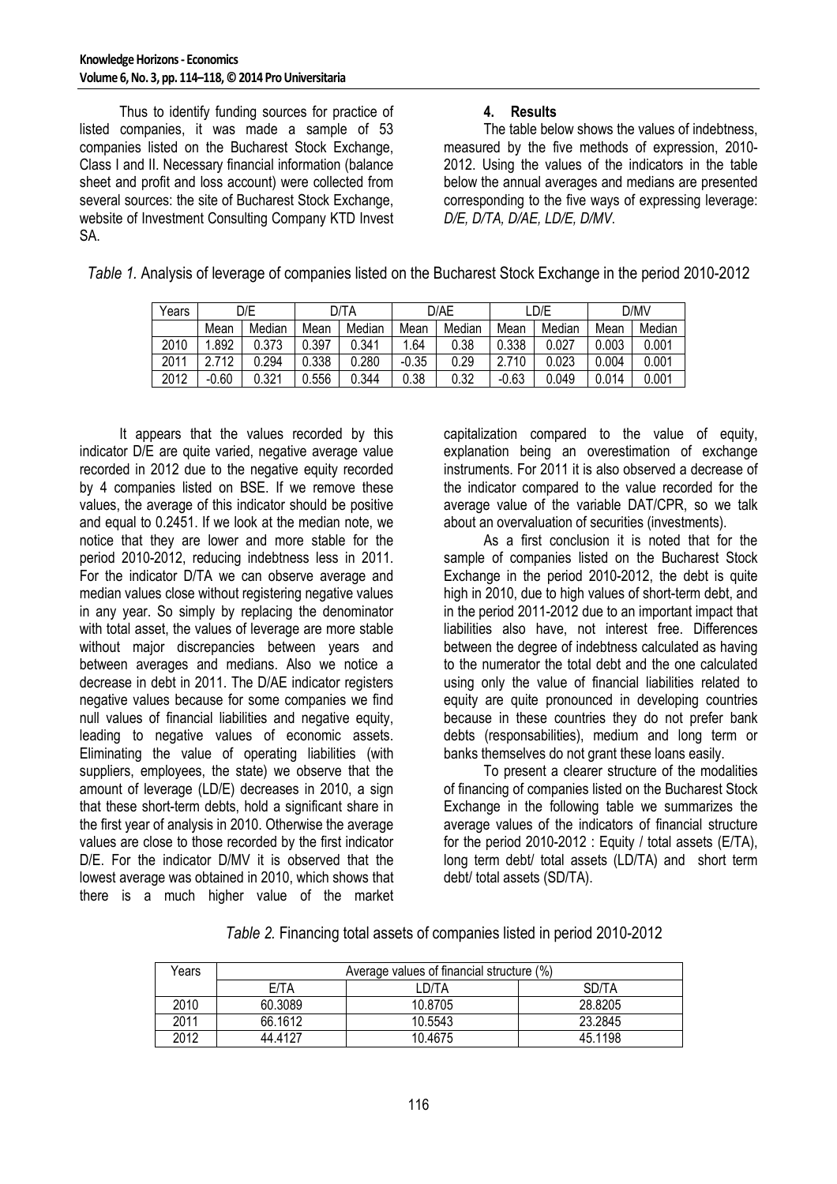Thus to identify funding sources for practice of listed companies, it was made a sample of 53 companies listed on the Bucharest Stock Exchange, Class I and II. Necessary financial information (balance sheet and profit and loss account) were collected from several sources: the site of Bucharest Stock Exchange, website of Investment Consulting Company KTD Invest SA.

### **4. Results**

The table below shows the values of indebtness, measured by the five methods of expression, 2010- 2012. Using the values of the indicators in the table below the annual averages and medians are presented corresponding to the five ways of expressing leverage: *D/E, D/TA, D/AE, LD/E, D/MV*.

| Years | D/E     |        | D/TA  |        | D/AE    |        | _D/E    |        | D/MV  |        |
|-------|---------|--------|-------|--------|---------|--------|---------|--------|-------|--------|
|       | Mean    | Median | Mean  | Median | Mean    | Median | Mean    | Median | Mean  | Median |
| 2010  | .892    | 0.373  | 0.397 | 0.341  | .64     | 0.38   | 0.338   | 0.027  | 0.003 | 0.001  |
| 2011  | 712     | 0.294  | 0.338 | 0.280  | $-0.35$ | 0.29   | 2.710   | 0.023  | 0.004 | 0.001  |
| 2012  | $-0.60$ | 0.321  | 0.556 | 0.344  | 0.38    | 0.32   | $-0.63$ | 0.049  | 0.014 | 0.001  |

*Table 1.* Analysis of leverage of companies listed on the Bucharest Stock Exchange in the period 2010-2012

It appears that the values recorded by this indicator D/E are quite varied, negative average value recorded in 2012 due to the negative equity recorded by 4 companies listed on BSE. If we remove these values, the average of this indicator should be positive and equal to 0.2451. If we look at the median note, we notice that they are lower and more stable for the period 2010-2012, reducing indebtness less in 2011. For the indicator D/TA we can observe average and median values close without registering negative values in any year. So simply by replacing the denominator with total asset, the values of leverage are more stable without major discrepancies between years and between averages and medians. Also we notice a decrease in debt in 2011. The D/AE indicator registers negative values because for some companies we find null values of financial liabilities and negative equity, leading to negative values of economic assets. Eliminating the value of operating liabilities (with suppliers, employees, the state) we observe that the amount of leverage (LD/E) decreases in 2010, a sign that these short-term debts, hold a significant share in the first year of analysis in 2010. Otherwise the average values are close to those recorded by the first indicator D/E. For the indicator D/MV it is observed that the lowest average was obtained in 2010, which shows that there is a much higher value of the market

capitalization compared to the value of equity, explanation being an overestimation of exchange instruments. For 2011 it is also observed a decrease of the indicator compared to the value recorded for the average value of the variable DAT/CPR, so we talk about an overvaluation of securities (investments).

As a first conclusion it is noted that for the sample of companies listed on the Bucharest Stock Exchange in the period 2010-2012, the debt is quite high in 2010, due to high values of short-term debt, and in the period 2011-2012 due to an important impact that liabilities also have, not interest free. Differences between the degree of indebtness calculated as having to the numerator the total debt and the one calculated using only the value of financial liabilities related to equity are quite pronounced in developing countries because in these countries they do not prefer bank debts (responsabilities), medium and long term or banks themselves do not grant these loans easily.

To present a clearer structure of the modalities of financing of companies listed on the Bucharest Stock Exchange in the following table we summarizes the average values of the indicators of financial structure for the period 2010-2012 : Equity / total assets (E/TA), long term debt/ total assets (LD/TA) and short term debt/ total assets (SD/TA).

*Table 2.* Financing total assets of companies listed in period 2010-2012

| Years | Average values of financial structure (%) |         |         |  |  |  |  |
|-------|-------------------------------------------|---------|---------|--|--|--|--|
|       | E/TA                                      | LD/TA   | SD/TA   |  |  |  |  |
| 2010  | 60.3089                                   | 10.8705 | 28.8205 |  |  |  |  |
| 2011  | 66.1612                                   | 10.5543 | 23.2845 |  |  |  |  |
| 2012  | 44.4127                                   | 10.4675 | 45.1198 |  |  |  |  |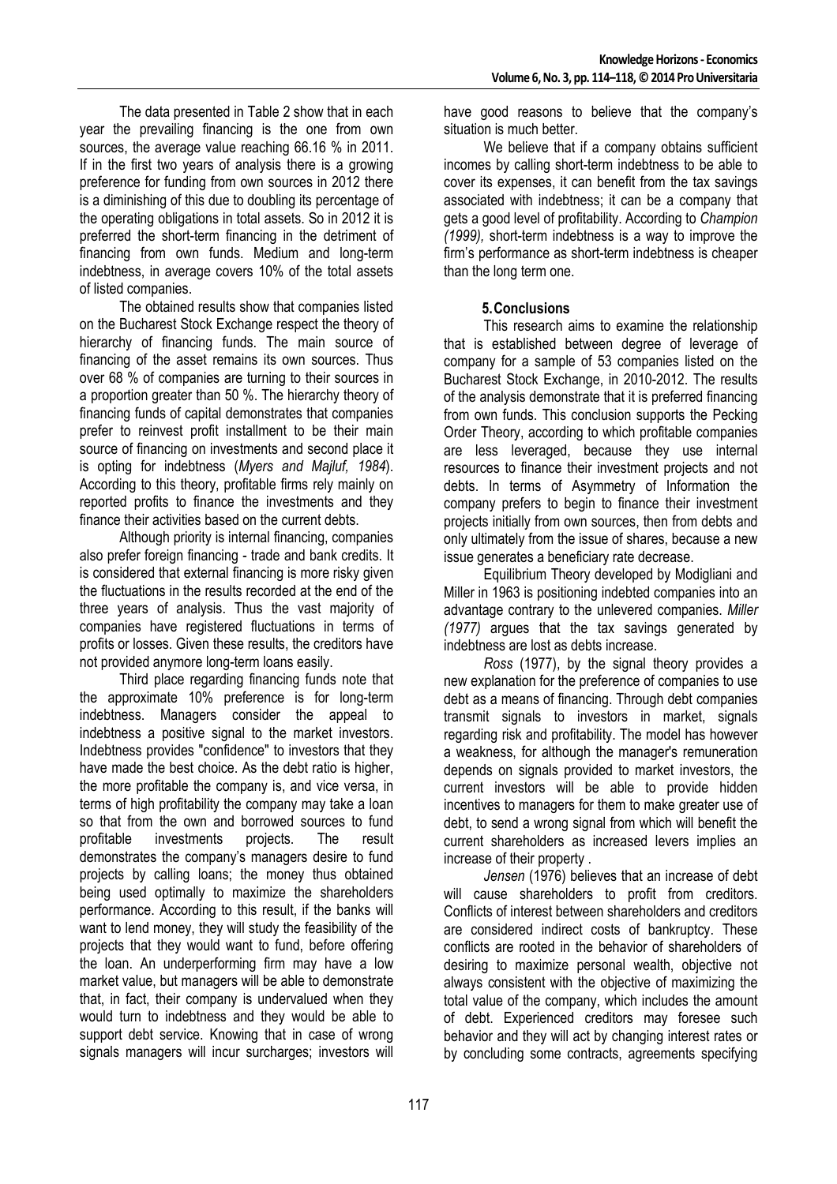The data presented in Table 2 show that in each year the prevailing financing is the one from own sources, the average value reaching 66.16 % in 2011. If in the first two years of analysis there is a growing preference for funding from own sources in 2012 there is a diminishing of this due to doubling its percentage of the operating obligations in total assets. So in 2012 it is preferred the short-term financing in the detriment of financing from own funds. Medium and long-term indebtness, in average covers 10% of the total assets of listed companies.

The obtained results show that companies listed on the Bucharest Stock Exchange respect the theory of hierarchy of financing funds. The main source of financing of the asset remains its own sources. Thus over 68 % of companies are turning to their sources in a proportion greater than 50 %. The hierarchy theory of financing funds of capital demonstrates that companies prefer to reinvest profit installment to be their main source of financing on investments and second place it is opting for indebtness (*Myers and Majluf, 1984*). According to this theory, profitable firms rely mainly on reported profits to finance the investments and they finance their activities based on the current debts.

Although priority is internal financing, companies also prefer foreign financing - trade and bank credits. It is considered that external financing is more risky given the fluctuations in the results recorded at the end of the three years of analysis. Thus the vast majority of companies have registered fluctuations in terms of profits or losses. Given these results, the creditors have not provided anymore long-term loans easily.

Third place regarding financing funds note that the approximate 10% preference is for long-term indebtness. Managers consider the appeal to indebtness a positive signal to the market investors. Indebtness provides "confidence" to investors that they have made the best choice. As the debt ratio is higher, the more profitable the company is, and vice versa, in terms of high profitability the company may take a loan so that from the own and borrowed sources to fund profitable investments projects. The result demonstrates the company's managers desire to fund projects by calling loans; the money thus obtained being used optimally to maximize the shareholders performance. According to this result, if the banks will want to lend money, they will study the feasibility of the projects that they would want to fund, before offering the loan. An underperforming firm may have a low market value, but managers will be able to demonstrate that, in fact, their company is undervalued when they would turn to indebtness and they would be able to support debt service. Knowing that in case of wrong signals managers will incur surcharges; investors will

have good reasons to believe that the company's situation is much better.

We believe that if a company obtains sufficient incomes by calling short-term indebtness to be able to cover its expenses, it can benefit from the tax savings associated with indebtness; it can be a company that gets a good level of profitability. According to *Champion (1999),* short-term indebtness is a way to improve the firm's performance as short-term indebtness is cheaper than the long term one.

### **5.Conclusions**

This research aims to examine the relationship that is established between degree of leverage of company for a sample of 53 companies listed on the Bucharest Stock Exchange, in 2010-2012. The results of the analysis demonstrate that it is preferred financing from own funds. This conclusion supports the Pecking Order Theory, according to which profitable companies are less leveraged, because they use internal resources to finance their investment projects and not debts. In terms of Asymmetry of Information the company prefers to begin to finance their investment projects initially from own sources, then from debts and only ultimately from the issue of shares, because a new issue generates a beneficiary rate decrease.

Equilibrium Theory developed by Modigliani and Miller in 1963 is positioning indebted companies into an advantage contrary to the unlevered companies. *Miller (1977)* argues that the tax savings generated by indebtness are lost as debts increase.

*Ross* (1977), by the signal theory provides a new explanation for the preference of companies to use debt as a means of financing. Through debt companies transmit signals to investors in market, signals regarding risk and profitability. The model has however a weakness, for although the manager's remuneration depends on signals provided to market investors, the current investors will be able to provide hidden incentives to managers for them to make greater use of debt, to send a wrong signal from which will benefit the current shareholders as increased levers implies an increase of their property .

*Jensen* (1976) believes that an increase of debt will cause shareholders to profit from creditors. Conflicts of interest between shareholders and creditors are considered indirect costs of bankruptcy. These conflicts are rooted in the behavior of shareholders of desiring to maximize personal wealth, objective not always consistent with the objective of maximizing the total value of the company, which includes the amount of debt. Experienced creditors may foresee such behavior and they will act by changing interest rates or by concluding some contracts, agreements specifying